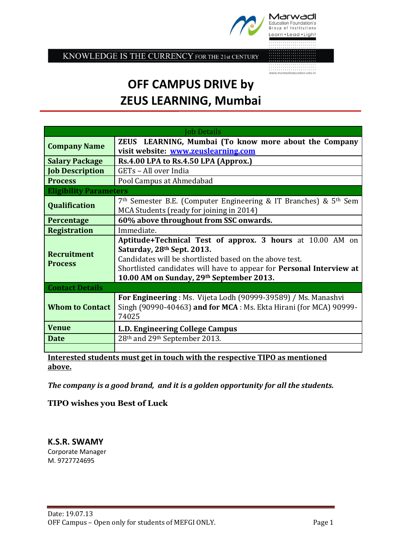

Marwadi Education Foundation's Group of Institutions Learn . Lead . Light

KNOWLEDGE IS THE CURRENCY FOR THE 21st CENTURY

 $\begin{minipage}{0.9\linewidth} \begin{tabular}{l} \hline \textbf{www.marwadieducation.edu.in} \end{tabular} \end{minipage}$ 

## **OFF CAMPUS DRIVE by ZEUS LEARNING, Mumbai**

| <b>Job Details</b>                   |                                                                                                                                                                                                                                                                               |
|--------------------------------------|-------------------------------------------------------------------------------------------------------------------------------------------------------------------------------------------------------------------------------------------------------------------------------|
| <b>Company Name</b>                  | ZEUS LEARNING, Mumbai (To know more about the Company                                                                                                                                                                                                                         |
|                                      | visit website: www.zeuslearning.com                                                                                                                                                                                                                                           |
| <b>Salary Package</b>                | Rs.4.00 LPA to Rs.4.50 LPA (Approx.)                                                                                                                                                                                                                                          |
| <b>Job Description</b>               | GETs - All over India                                                                                                                                                                                                                                                         |
| <b>Process</b>                       | Pool Campus at Ahmedabad                                                                                                                                                                                                                                                      |
| <b>Eligibility Parameters</b>        |                                                                                                                                                                                                                                                                               |
| <b>Qualification</b>                 | $7th$ Semester B.E. (Computer Engineering & IT Branches) & $5th$ Sem<br>MCA Students (ready for joining in 2014)                                                                                                                                                              |
| Percentage                           | 60% above throughout from SSC onwards.                                                                                                                                                                                                                                        |
| <b>Registration</b>                  | Immediate.                                                                                                                                                                                                                                                                    |
| <b>Recruitment</b><br><b>Process</b> | Aptitude+Technical Test of approx. 3 hours at 10.00 AM on<br>Saturday, 28th Sept. 2013.<br>Candidates will be shortlisted based on the above test.<br>Shortlisted candidates will have to appear for <b>Personal Interview at</b><br>10.00 AM on Sunday, 29th September 2013. |
| <b>Contact Details</b>               |                                                                                                                                                                                                                                                                               |
| <b>Whom to Contact</b>               | <b>For Engineering</b> : Ms. Vijeta Lodh (90999-39589) / Ms. Manashvi<br>Singh (90990-40463) and for MCA: Ms. Ekta Hirani (for MCA) 90999-<br>74025                                                                                                                           |
| <b>Venue</b>                         | L.D. Engineering College Campus                                                                                                                                                                                                                                               |
| <b>Date</b>                          | 28th and 29th September 2013.                                                                                                                                                                                                                                                 |
|                                      |                                                                                                                                                                                                                                                                               |

**Interested students must get in touch with the respective TIPO as mentioned above.**

*The company is a good brand, and it is a golden opportunity for all the students.*

**TIPO wishes you Best of Luck**

**K.S.R. SWAMY** Corporate Manager M. 9727724695